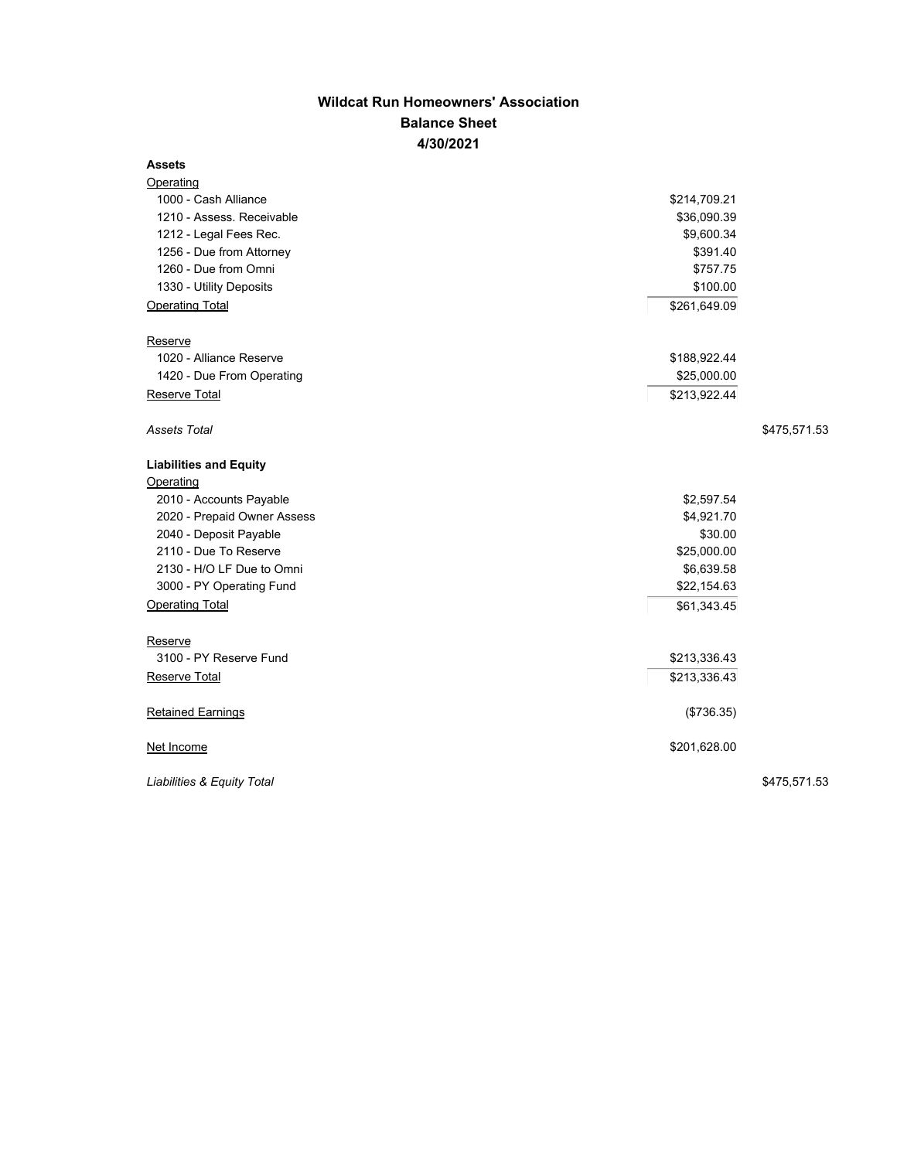## **Wildcat Run Homeowners' Association Balance Sheet 4/30/2021**

## **Assets**

| <b>Operating</b>              |              |              |
|-------------------------------|--------------|--------------|
| 1000 - Cash Alliance          | \$214,709.21 |              |
| 1210 - Assess. Receivable     | \$36,090.39  |              |
| 1212 - Legal Fees Rec.        | \$9,600.34   |              |
| 1256 - Due from Attorney      | \$391.40     |              |
| 1260 - Due from Omni          | \$757.75     |              |
| 1330 - Utility Deposits       | \$100.00     |              |
| <b>Operating Total</b>        | \$261,649.09 |              |
| Reserve                       |              |              |
| 1020 - Alliance Reserve       | \$188,922.44 |              |
| 1420 - Due From Operating     | \$25,000.00  |              |
| Reserve Total                 | \$213,922.44 |              |
| Assets Total                  |              | \$475,571.53 |
| <b>Liabilities and Equity</b> |              |              |
| Operating                     |              |              |
| 2010 - Accounts Payable       | \$2,597.54   |              |
| 2020 - Prepaid Owner Assess   | \$4,921.70   |              |
| 2040 - Deposit Payable        | \$30.00      |              |
| 2110 - Due To Reserve         | \$25,000.00  |              |
| 2130 - H/O LF Due to Omni     | \$6,639.58   |              |
| 3000 - PY Operating Fund      | \$22,154.63  |              |
| <b>Operating Total</b>        | \$61,343.45  |              |
| Reserve                       |              |              |
| 3100 - PY Reserve Fund        | \$213,336.43 |              |
| Reserve Total                 | \$213,336.43 |              |
| <b>Retained Earnings</b>      | (\$736.35)   |              |
| Net Income                    | \$201,628.00 |              |
| Liabilities & Equity Total    |              | \$475,571.53 |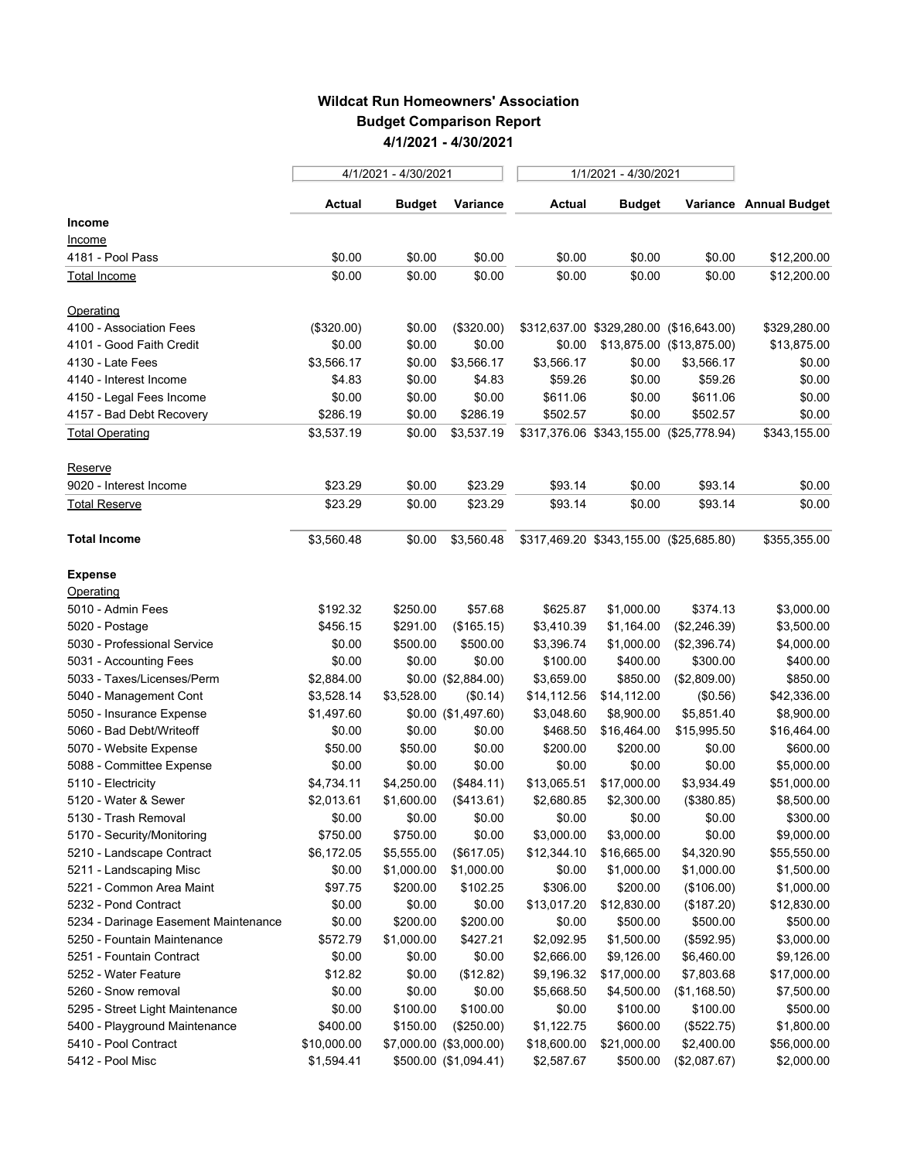## **Wildcat Run Homeowners' Association Budget Comparison Report 4/1/2021 - 4/30/2021**

|                                      | 4/1/2021 - 4/30/2021 |               |                         | 1/1/2021 - 4/30/2021 |                                         |                           |                        |
|--------------------------------------|----------------------|---------------|-------------------------|----------------------|-----------------------------------------|---------------------------|------------------------|
|                                      | Actual               | <b>Budget</b> | Variance                | Actual               | <b>Budget</b>                           |                           | Variance Annual Budget |
| Income                               |                      |               |                         |                      |                                         |                           |                        |
| Income                               |                      |               |                         |                      |                                         |                           |                        |
| 4181 - Pool Pass                     | \$0.00               | \$0.00        | \$0.00                  | \$0.00               | \$0.00                                  | \$0.00                    | \$12,200.00            |
| Total Income                         | \$0.00               | \$0.00        | \$0.00                  | \$0.00               | \$0.00                                  | \$0.00                    | \$12,200.00            |
| Operating                            |                      |               |                         |                      |                                         |                           |                        |
| 4100 - Association Fees              | (\$320.00)           | \$0.00        | (\$320.00)              |                      | \$312,637.00 \$329,280.00 (\$16,643.00) |                           | \$329,280.00           |
| 4101 - Good Faith Credit             | \$0.00               | \$0.00        | \$0.00                  | \$0.00               |                                         | \$13,875.00 (\$13,875.00) | \$13,875.00            |
| 4130 - Late Fees                     | \$3,566.17           | \$0.00        | \$3,566.17              | \$3,566.17           | \$0.00                                  | \$3,566.17                | \$0.00                 |
| 4140 - Interest Income               | \$4.83               | \$0.00        | \$4.83                  | \$59.26              | \$0.00                                  | \$59.26                   | \$0.00                 |
| 4150 - Legal Fees Income             | \$0.00               | \$0.00        | \$0.00                  | \$611.06             | \$0.00                                  | \$611.06                  | \$0.00                 |
| 4157 - Bad Debt Recovery             | \$286.19             | \$0.00        | \$286.19                | \$502.57             | \$0.00                                  | \$502.57                  | \$0.00                 |
| <b>Total Operating</b>               | \$3,537.19           | \$0.00        | \$3,537.19              |                      | \$317,376.06 \$343,155.00 (\$25,778.94) |                           | \$343,155.00           |
| Reserve                              |                      |               |                         |                      |                                         |                           |                        |
| 9020 - Interest Income               | \$23.29              | \$0.00        | \$23.29                 | \$93.14              | \$0.00                                  | \$93.14                   | \$0.00                 |
| <b>Total Reserve</b>                 | \$23.29              | \$0.00        | \$23.29                 | \$93.14              | \$0.00                                  | \$93.14                   | \$0.00                 |
| <b>Total Income</b>                  | \$3,560.48           | \$0.00        | \$3,560.48              |                      | \$317,469.20 \$343,155.00 (\$25,685.80) |                           | \$355,355.00           |
| <b>Expense</b>                       |                      |               |                         |                      |                                         |                           |                        |
| Operating                            |                      |               |                         |                      |                                         |                           |                        |
| 5010 - Admin Fees                    | \$192.32             | \$250.00      | \$57.68                 | \$625.87             | \$1,000.00                              | \$374.13                  | \$3,000.00             |
| 5020 - Postage                       | \$456.15             | \$291.00      | (\$165.15)              | \$3,410.39           | \$1,164.00                              | (\$2,246.39)              | \$3,500.00             |
| 5030 - Professional Service          | \$0.00               | \$500.00      | \$500.00                | \$3,396.74           | \$1,000.00                              | (\$2,396.74)              | \$4,000.00             |
| 5031 - Accounting Fees               | \$0.00               | \$0.00        | \$0.00                  | \$100.00             | \$400.00                                | \$300.00                  | \$400.00               |
| 5033 - Taxes/Licenses/Perm           | \$2,884.00           |               | \$0.00 (\$2,884.00)     | \$3,659.00           | \$850.00                                | (\$2,809.00)              | \$850.00               |
| 5040 - Management Cont               | \$3,528.14           | \$3,528.00    | (\$0.14)                | \$14,112.56          | \$14,112.00                             | (\$0.56)                  | \$42,336.00            |
| 5050 - Insurance Expense             | \$1,497.60           |               | \$0.00 (\$1,497.60)     | \$3,048.60           | \$8,900.00                              | \$5,851.40                | \$8,900.00             |
| 5060 - Bad Debt/Writeoff             | \$0.00               | \$0.00        | \$0.00                  | \$468.50             | \$16,464.00                             | \$15,995.50               | \$16,464.00            |
| 5070 - Website Expense               | \$50.00              | \$50.00       | \$0.00                  | \$200.00             | \$200.00                                | \$0.00                    | \$600.00               |
| 5088 - Committee Expense             | \$0.00               | \$0.00        | \$0.00                  | \$0.00               | \$0.00                                  | \$0.00                    | \$5,000.00             |
| 5110 - Electricity                   | \$4,734.11           | \$4,250.00    | (\$484.11)              | \$13,065.51          | \$17,000.00                             | \$3,934.49                | \$51,000.00            |
| 5120 - Water & Sewer                 | \$2,013.61           | \$1,600.00    | (\$413.61)              | \$2,680.85           | \$2,300.00                              | (\$380.85)                | \$8,500.00             |
| 5130 - Trash Removal                 | \$0.00               | \$0.00        | \$0.00                  | \$0.00               | \$0.00                                  | \$0.00                    | \$300.00               |
| 5170 - Security/Monitoring           | \$750.00             | \$750.00      | \$0.00                  | \$3,000.00           | \$3,000.00                              | \$0.00                    | \$9,000.00             |
| 5210 - Landscape Contract            | \$6,172.05           | \$5,555.00    | (\$617.05)              | \$12,344.10          | \$16,665.00                             | \$4,320.90                | \$55,550.00            |
| 5211 - Landscaping Misc              | \$0.00               | \$1,000.00    | \$1,000.00              | \$0.00               | \$1,000.00                              | \$1,000.00                | \$1,500.00             |
| 5221 - Common Area Maint             | \$97.75              | \$200.00      | \$102.25                | \$306.00             | \$200.00                                | (\$106.00)                | \$1,000.00             |
| 5232 - Pond Contract                 | \$0.00               | \$0.00        | \$0.00                  | \$13,017.20          | \$12,830.00                             | (\$187.20)                | \$12,830.00            |
| 5234 - Darinage Easement Maintenance | \$0.00               | \$200.00      | \$200.00                | \$0.00               | \$500.00                                | \$500.00                  | \$500.00               |
| 5250 - Fountain Maintenance          | \$572.79             | \$1,000.00    | \$427.21                | \$2,092.95           | \$1,500.00                              | (\$592.95)                | \$3,000.00             |
| 5251 - Fountain Contract             | \$0.00               | \$0.00        | \$0.00                  | \$2,666.00           | \$9,126.00                              | \$6,460.00                | \$9,126.00             |
| 5252 - Water Feature                 | \$12.82              | \$0.00        | (\$12.82)               | \$9,196.32           | \$17,000.00                             | \$7,803.68                | \$17,000.00            |
| 5260 - Snow removal                  | \$0.00               | \$0.00        | \$0.00                  | \$5,668.50           | \$4,500.00                              | (\$1,168.50)              | \$7,500.00             |
| 5295 - Street Light Maintenance      | \$0.00               | \$100.00      | \$100.00                | \$0.00               | \$100.00                                | \$100.00                  | \$500.00               |
| 5400 - Playground Maintenance        | \$400.00             | \$150.00      | (\$250.00)              | \$1,122.75           | \$600.00                                | (\$522.75)                | \$1,800.00             |
| 5410 - Pool Contract                 | \$10,000.00          |               | \$7,000.00 (\$3,000.00) | \$18,600.00          | \$21,000.00                             | \$2,400.00                | \$56,000.00            |
| 5412 - Pool Misc                     | \$1,594.41           |               | \$500.00 (\$1,094.41)   | \$2,587.67           | \$500.00                                | (\$2,087.67)              | \$2,000.00             |
|                                      |                      |               |                         |                      |                                         |                           |                        |